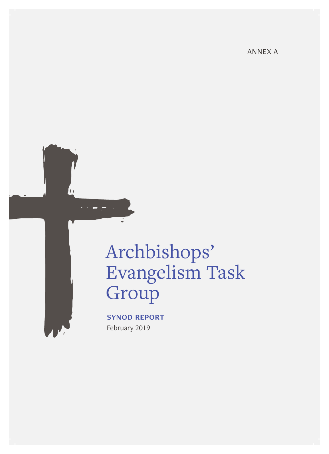Annex A



Synod Report February 2019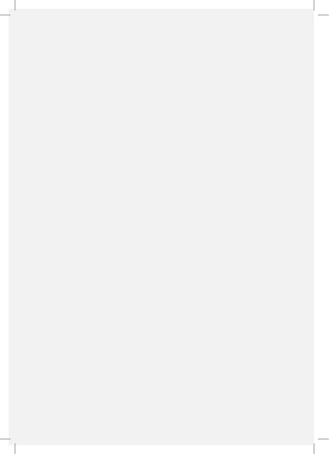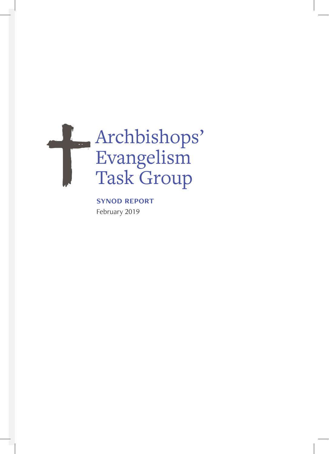

Synod Report February 2019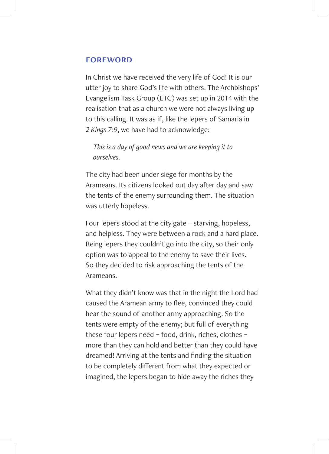#### **FOREWORD**

In Christ we have received the very life of God! It is our utter joy to share God's life with others. The Archbishops' Evangelism Task Group (ETG) was set up in 2014 with the realisation that as a church we were not always living up to this calling. It was as if, like the lepers of Samaria in *2 Kings 7:9*, we have had to acknowledge:

*This is a day of good news and we are keeping it to ourselves.*

The city had been under siege for months by the Arameans. Its citizens looked out day after day and saw the tents of the enemy surrounding them. The situation was utterly hopeless.

Four lepers stood at the city gate – starving, hopeless, and helpless. They were between a rock and a hard place. Being lepers they couldn't go into the city, so their only option was to appeal to the enemy to save their lives. So they decided to risk approaching the tents of the Arameans.

What they didn't know was that in the night the Lord had caused the Aramean army to flee, convinced they could hear the sound of another army approaching. So the tents were empty of the enemy; but full of everything these four lepers need – food, drink, riches, clothes – more than they can hold and better than they could have dreamed! Arriving at the tents and finding the situation to be completely different from what they expected or imagined, the lepers began to hide away the riches they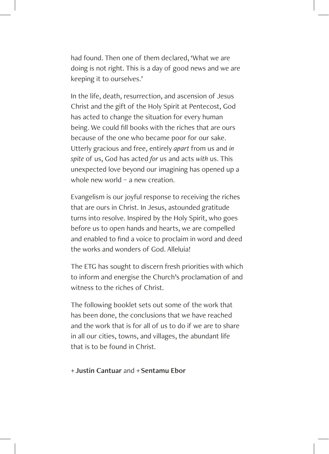had found. Then one of them declared, 'What we are doing is not right. This is a day of good news and we are keeping it to ourselves.'

In the life, death, resurrection, and ascension of Jesus Christ and the gift of the Holy Spirit at Pentecost, God has acted to change the situation for every human being. We could fill books with the riches that are ours because of the one who became poor for our sake. Utterly gracious and free, entirely *apart* from us and *in spite* of us, God has acted *for* us and acts *with* us. This unexpected love beyond our imagining has opened up a whole new world – a new creation.

Evangelism is our joyful response to receiving the riches that are ours in Christ. In Jesus, astounded gratitude turns into resolve. Inspired by the Holy Spirit, who goes before us to open hands and hearts, we are compelled and enabled to find a voice to proclaim in word and deed the works and wonders of God. Alleluia!

The ETG has sought to discern fresh priorities with which to inform and energise the Church's proclamation of and witness to the riches of Christ.

The following booklet sets out some of the work that has been done, the conclusions that we have reached and the work that is for all of us to do if we are to share in all our cities, towns, and villages, the abundant life that is to be found in Christ.

#### + Justin Cantuar and + Sentamu Ebor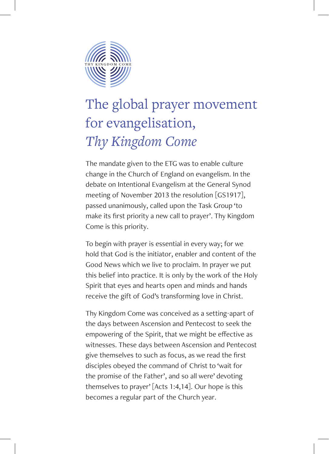

# The global prayer movement for evangelisation, *Thy Kingdom Come*

The mandate given to the ETG was to enable culture change in the Church of England on evangelism. In the debate on Intentional Evangelism at the General Synod meeting of November 2013 the resolution [GS1917], passed unanimously, called upon the Task Group 'to make its first priority a new call to prayer'. Thy Kingdom Come is this priority.

To begin with prayer is essential in every way; for we hold that God is the initiator, enabler and content of the Good News which we live to proclaim. In prayer we put this belief into practice. It is only by the work of the Holy Spirit that eyes and hearts open and minds and hands receive the gift of God's transforming love in Christ.

Thy Kingdom Come was conceived as a setting-apart of the days between Ascension and Pentecost to seek the empowering of the Spirit, that we might be effective as witnesses. These days between Ascension and Pentecost give themselves to such as focus, as we read the first disciples obeyed the command of Christ to 'wait for the promise of the Father', and so all were' devoting themselves to prayer' [Acts 1:4,14]. Our hope is this becomes a regular part of the Church year.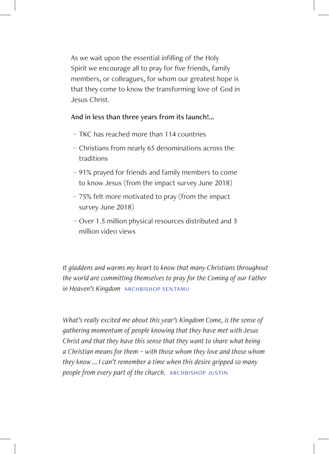As we wait upon the essential infilling of the Holy Spirit we encourage all to pray for five friends, family members, or colleagues, for whom our greatest hope is that they come to know the transforming love of God in Jesus Christ.

#### And in less than three years from its launch!…

- TKC has reached more than 114 countries
- Christians from nearly 65 denominations across the traditions
- 91% prayed for friends and family members to come to know Jesus (from the impact survey June 2018)
- 75% felt more motivated to pray (from the impact survey June 2018)
- Over 1.5 million physical resources distributed and 3 million video views

*It gladdens and warms my heart to know that many Christians throughout the world are committing themselves to pray for the Coming of our Father in Heaven's Kingdom* Archbishop Sentamu

*What's really excited me about this year's Kingdom Come, is the sense of gathering momentum of people knowing that they have met with Jesus Christ and that they have this sense that they want to share what being a Christian means for them – with those whom they love and those whom they know … I can't remember a time when this desire gripped so many people from every part of the church.* ARCHBISHOP JUSTIN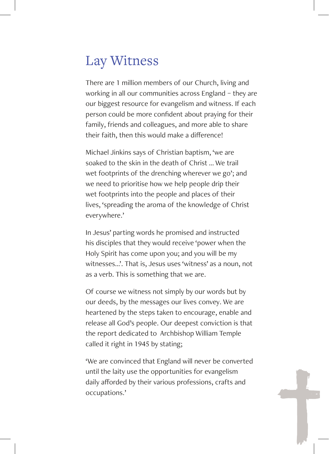#### Lay Witness

There are 1 million members of our Church, living and working in all our communities across England – they are our biggest resource for evangelism and witness. If each person could be more confident about praying for their family, friends and colleagues, and more able to share their faith, then this would make a difference!

Michael Jinkins says of Christian baptism, 'we are soaked to the skin in the death of Christ … We trail wet footprints of the drenching wherever we go'; and we need to prioritise how we help people drip their wet footprints into the people and places of their lives, 'spreading the aroma of the knowledge of Christ everywhere.'

In Jesus' parting words he promised and instructed his disciples that they would receive 'power when the Holy Spirit has come upon you; and you will be my witnesses…'. That is, Jesus uses 'witness' as a noun, not as a verb. This is something that we are.

Of course we witness not simply by our words but by our deeds, by the messages our lives convey. We are heartened by the steps taken to encourage, enable and release all God's people. Our deepest conviction is that the report dedicated to Archbishop William Temple called it right in 1945 by stating;

'We are convinced that England will never be converted until the laity use the opportunities for evangelism daily afforded by their various professions, crafts and occupations.'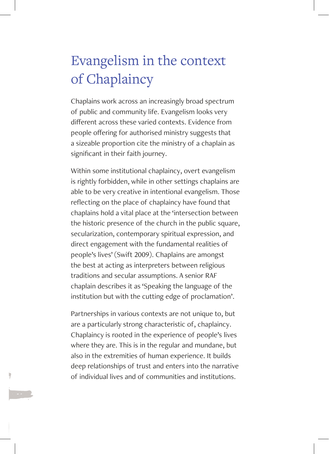#### Evangelism in the context of Chaplaincy

Chaplains work across an increasingly broad spectrum of public and community life. Evangelism looks very different across these varied contexts. Evidence from people offering for authorised ministry suggests that a sizeable proportion cite the ministry of a chaplain as significant in their faith journey.

Within some institutional chaplaincy, overt evangelism is rightly forbidden, while in other settings chaplains are able to be very creative in intentional evangelism. Those reflecting on the place of chaplaincy have found that chaplains hold a vital place at the 'intersection between the historic presence of the church in the public square, secularization, contemporary spiritual expression, and direct engagement with the fundamental realities of people's lives' (Swift 2009). Chaplains are amongst the best at acting as interpreters between religious traditions and secular assumptions. A senior RAF chaplain describes it as 'Speaking the language of the institution but with the cutting edge of proclamation'.

Partnerships in various contexts are not unique to, but are a particularly strong characteristic of, chaplaincy. Chaplaincy is rooted in the experience of people's lives where they are. This is in the regular and mundane, but also in the extremities of human experience. It builds deep relationships of trust and enters into the narrative of individual lives and of communities and institutions.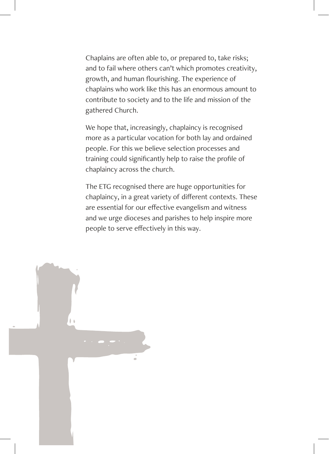Chaplains are often able to, or prepared to, take risks; and to fail where others can't which promotes creativity, growth, and human flourishing. The experience of chaplains who work like this has an enormous amount to contribute to society and to the life and mission of the gathered Church.

We hope that, increasingly, chaplaincy is recognised more as a particular vocation for both lay and ordained people. For this we believe selection processes and training could significantly help to raise the profile of chaplaincy across the church.

The ETG recognised there are huge opportunities for chaplaincy, in a great variety of different contexts. These are essential for our effective evangelism and witness and we urge dioceses and parishes to help inspire more people to serve effectively in this way.

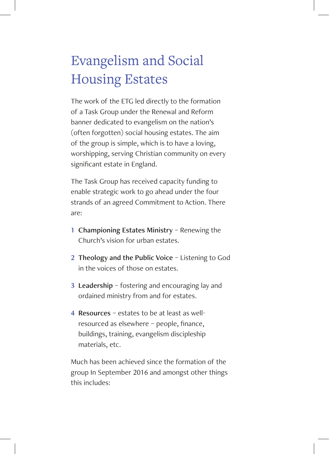### Evangelism and Social Housing Estates

The work of the ETG led directly to the formation of a Task Group under the Renewal and Reform banner dedicated to evangelism on the nation's (often forgotten) social housing estates. The aim of the group is simple, which is to have a loving, worshipping, serving Christian community on every significant estate in England.

The Task Group has received capacity funding to enable strategic work to go ahead under the four strands of an agreed Commitment to Action. There are:

- 1 Championing Estates Ministry Renewing the Church's vision for urban estates.
- 2 Theology and the Public Voice Listening to God in the voices of those on estates.
- 3 Leadership fostering and encouraging lay and ordained ministry from and for estates.
- 4 Resources estates to be at least as wellresourced as elsewhere – people, finance, buildings, training, evangelism discipleship materials, etc.

Much has been achieved since the formation of the group In September 2016 and amongst other things this includes: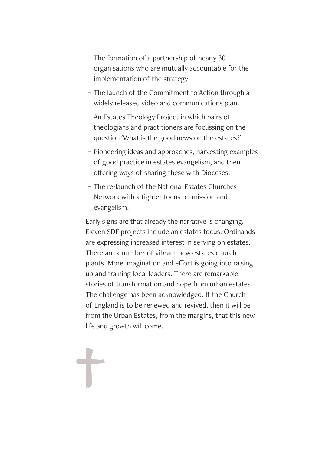- The formation of a partnership of nearly 30 organisations who are mutually accountable for the implementation of the strategy.
- The launch of the Commitment to Action through a widely released video and communications plan.
- An Estates Theology Project in which pairs of theologians and practitioners are focussing on the question 'What is the good news on the estates?'
- Pioneering ideas and approaches, harvesting examples of good practice in estates evangelism, and then offering ways of sharing these with Dioceses.
- The re-launch of the National Estates Churches Network with a tighter focus on mission and evangelism.

Early signs are that already the narrative is changing. Eleven SDF projects include an estates focus. Ordinands are expressing increased interest in serving on estates. There are a number of vibrant new estates church plants. More imagination and effort is going into raising up and training local leaders. There are remarkable stories of transformation and hope from urban estates. The challenge has been acknowledged. If the Church of England is to be renewed and revived, then it will be from the Urban Estates, from the margins, that this new life and growth will come.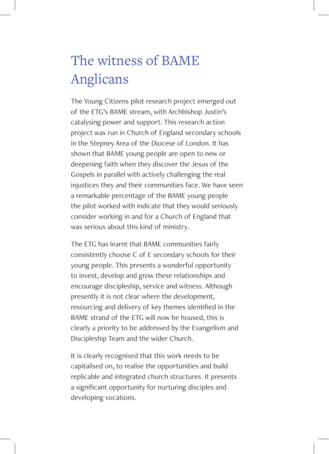## The witness of BAME Anglicans

The Young Citizens pilot research project emerged out of the ETG's BAME stream, with Archbishop Justin's catalysing power and support. This research action project was run in Church of England secondary schools in the Stepney Area of the Diocese of London. It has shown that BAME young people are open to new or deepening faith when they discover the Jesus of the Gospels in parallel with actively challenging the real injustices they and their communities face. We have seen a remarkable percentage of the BAME young people the pilot worked with indicate that they would seriously consider working in and for a Church of England that was serious about this kind of ministry.

The ETG has learnt that BAME communities fairly consistently choose C of E secondary schools for their young people. This presents a wonderful opportunity to invest, develop and grow these relationships and encourage discipleship, service and witness. Although presently it is not clear where the development, resourcing and delivery of key themes identified in the BAME strand of the ETG will now be housed, this is clearly a priority to be addressed by the Evangelism and Discipleship Team and the wider Church.

It is clearly recognised that this work needs to be capitalised on, to realise the opportunities and build replicable and integrated church structures. It presents a significant opportunity for nurturing disciples and developing vocations.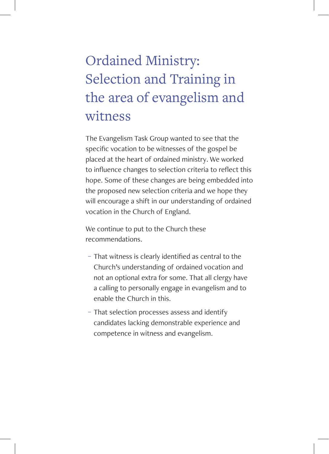### Ordained Ministry: Selection and Training in the area of evangelism and witness

The Evangelism Task Group wanted to see that the specific vocation to be witnesses of the gospel be placed at the heart of ordained ministry. We worked to influence changes to selection criteria to reflect this hope. Some of these changes are being embedded into the proposed new selection criteria and we hope they will encourage a shift in our understanding of ordained vocation in the Church of England.

We continue to put to the Church these recommendations.

- That witness is clearly identified as central to the Church's understanding of ordained vocation and not an optional extra for some. That all clergy have a calling to personally engage in evangelism and to enable the Church in this.
- That selection processes assess and identify candidates lacking demonstrable experience and competence in witness and evangelism.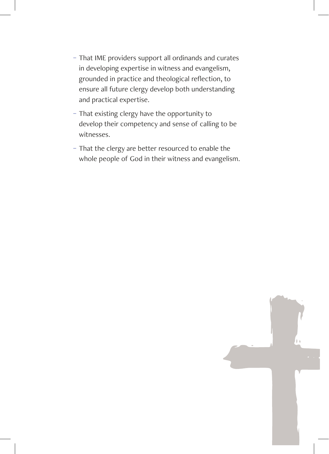- That IME providers support all ordinands and curates in developing expertise in witness and evangelism, grounded in practice and theological reflection, to ensure all future clergy develop both understanding and practical expertise.
- That existing clergy have the opportunity to develop their competency and sense of calling to be witnesses.
- That the clergy are better resourced to enable the whole people of God in their witness and evangelism.

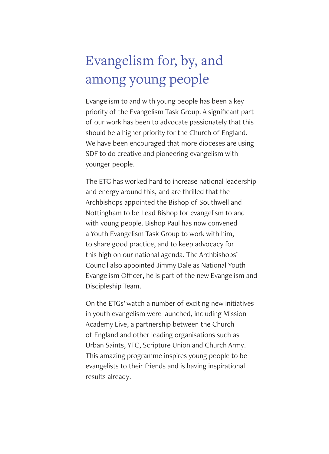### Evangelism for, by, and among young people

Evangelism to and with young people has been a key priority of the Evangelism Task Group. A significant part of our work has been to advocate passionately that this should be a higher priority for the Church of England. We have been encouraged that more dioceses are using SDF to do creative and pioneering evangelism with younger people.

The ETG has worked hard to increase national leadership and energy around this, and are thrilled that the Archbishops appointed the Bishop of Southwell and Nottingham to be Lead Bishop for evangelism to and with young people. Bishop Paul has now convened a Youth Evangelism Task Group to work with him, to share good practice, and to keep advocacy for this high on our national agenda. The Archbishops' Council also appointed Jimmy Dale as National Youth Evangelism Officer, he is part of the new Evangelism and Discipleship Team.

On the ETGs' watch a number of exciting new initiatives in youth evangelism were launched, including Mission Academy Live, a partnership between the Church of England and other leading organisations such as Urban Saints, YFC, Scripture Union and Church Army. This amazing programme inspires young people to be evangelists to their friends and is having inspirational results already.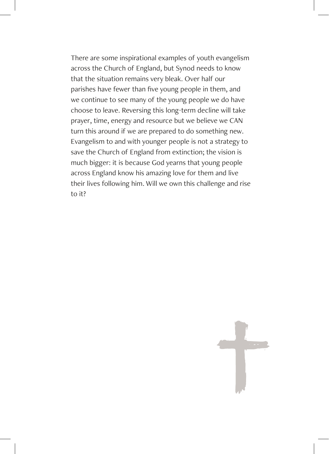There are some inspirational examples of youth evangelism across the Church of England, but Synod needs to know that the situation remains very bleak. Over half our parishes have fewer than five young people in them, and we continue to see many of the young people we do have choose to leave. Reversing this long-term decline will take prayer, time, energy and resource but we believe we CAN turn this around if we are prepared to do something new. Evangelism to and with younger people is not a strategy to save the Church of England from extinction; the vision is much bigger: it is because God yearns that young people across England know his amazing love for them and live their lives following him. Will we own this challenge and rise to it?

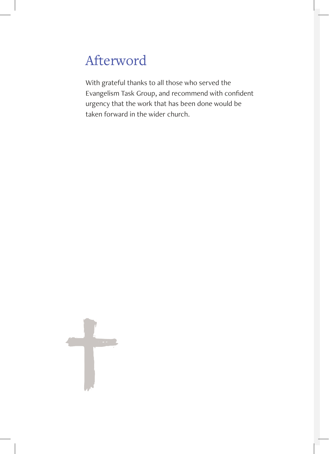#### Afterword

With grateful thanks to all those who served the Evangelism Task Group, and recommend with confident urgency that the work that has been done would be taken forward in the wider church.

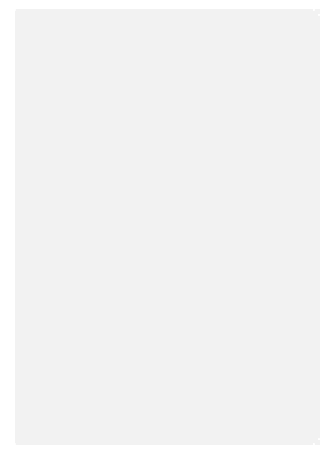